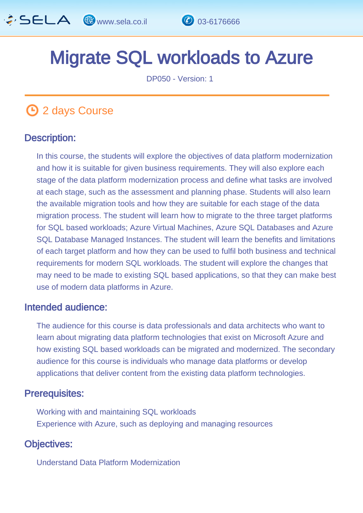

# Migrate SQL workloads to Azure

DP050 - Version: 1

# **1** 2 days Course

### Description: Ī

In this course, the students will explore the objectives of data platform modernization and how it is suitable for given business requirements. They will also explore each stage of the data platform modernization process and define what tasks are involved at each stage, such as the assessment and planning phase. Students will also learn the available migration tools and how they are suitable for each stage of the data migration process. The student will learn how to migrate to the three target platforms for SQL based workloads; Azure Virtual Machines, Azure SQL Databases and Azure SQL Database Managed Instances. The student will learn the benefits and limitations of each target platform and how they can be used to fulfil both business and technical requirements for modern SQL workloads. The student will explore the changes that may need to be made to existing SQL based applications, so that they can make best use of modern data platforms in Azure.

### Intended audience: I.

The audience for this course is data professionals and data architects who want to learn about migrating data platform technologies that exist on Microsoft Azure and how existing SQL based workloads can be migrated and modernized. The secondary audience for this course is individuals who manage data platforms or develop applications that deliver content from the existing data platform technologies.

#### Prerequisites: Ï

Working with and maintaining SQL workloads Experience with Azure, such as deploying and managing resources

### Objectives: Ĭ

Understand Data Platform Modernization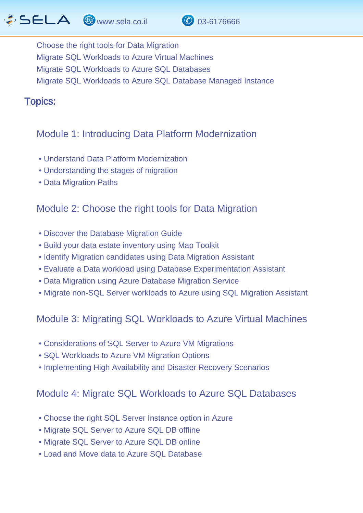# $\hat{G}$  SELA  $\circledast$  www.sela.co.il  $\circledast$  03-6176666



Choose the right tools for Data Migration Migrate SQL Workloads to Azure Virtual Machines Migrate SQL Workloads to Azure SQL Databases Migrate SQL Workloads to Azure SQL Database Managed Instance

### Topics: J.

# Module 1: Introducing Data Platform Modernization

- Understand Data Platform Modernization
- Understanding the stages of migration
- Data Migration Paths

# Module 2: Choose the right tools for Data Migration

- Discover the Database Migration Guide
- Build your data estate inventory using Map Toolkit
- Identify Migration candidates using Data Migration Assistant
- Evaluate a Data workload using Database Experimentation Assistant
- Data Migration using Azure Database Migration Service
- Migrate non-SQL Server workloads to Azure using SQL Migration Assistant

### Module 3: Migrating SQL Workloads to Azure Virtual Machines

- Considerations of SQL Server to Azure VM Migrations
- SQL Workloads to Azure VM Migration Options
- Implementing High Availability and Disaster Recovery Scenarios

### Module 4: Migrate SQL Workloads to Azure SQL Databases

- Choose the right SQL Server Instance option in Azure
- Migrate SQL Server to Azure SQL DB offline
- Migrate SQL Server to Azure SQL DB online
- Load and Move data to Azure SQL Database